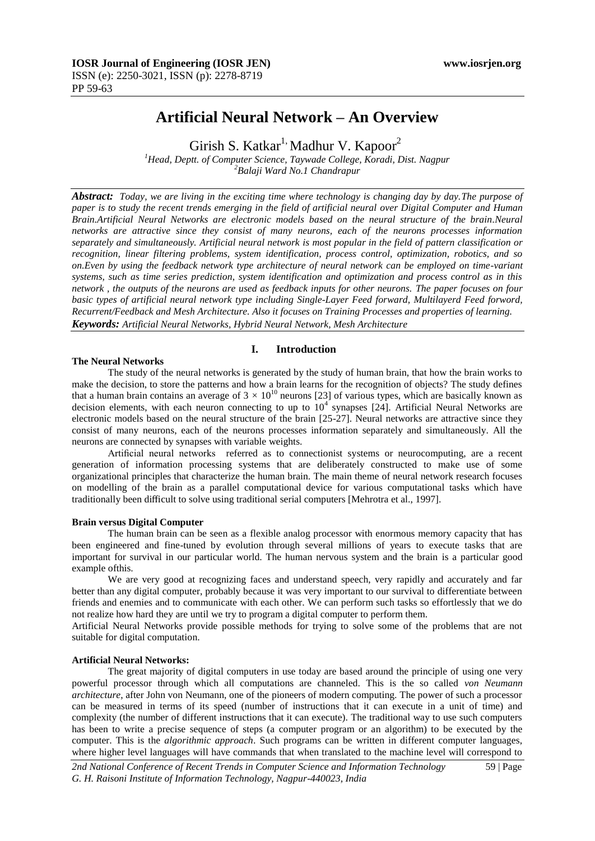# **Artificial Neural Network – An Overview**

Girish S. Katkar<sup>1,</sup> Madhur V. Kapoor<sup>2</sup>

*<sup>1</sup>Head, Deptt. of Computer Science, Taywade College, Koradi, Dist. Nagpur <sup>2</sup>Balaji Ward No.1 Chandrapur*

*Abstract: Today, we are living in the exciting time where technology is changing day by day.The purpose of paper is to study the recent trends emerging in the field of artificial neural over Digital Computer and Human Brain.Artificial Neural Networks are electronic models based on the neural structure of the brain.Neural networks are attractive since they consist of many neurons, each of the neurons processes information separately and simultaneously. Artificial neural network is most popular in the field of pattern classification or recognition, linear filtering problems, system identification, process control, optimization, robotics, and so on.Even by using the feedback network type architecture of neural network can be employed on time-variant systems, such as time series prediction, system identification and optimization and process control as in this network , the outputs of the neurons are used as feedback inputs for other neurons. The paper focuses on four basic types of artificial neural network type including Single-Layer Feed forward, Multilayerd Feed forword, Recurrent/Feedback and Mesh Architecture. Also it focuses on Training Processes and properties of learning. Keywords: Artificial Neural Networks, Hybrid Neural Network, Mesh Architecture*

## **I. Introduction**

#### **The Neural Networks**

The study of the neural networks is generated by the study of human brain, that how the brain works to make the decision, to store the patterns and how a brain learns for the recognition of objects? The study defines that a human brain contains an average of  $3 \times 10^{10}$  neurons [23] of various types, which are basically known as decision elements, with each neuron connecting to up to  $10^4$  synapses [24]. Artificial Neural Networks are electronic models based on the neural structure of the brain [25-27]. Neural networks are attractive since they consist of many neurons, each of the neurons processes information separately and simultaneously. All the neurons are connected by synapses with variable weights.

Artificial neural networks referred as to connectionist systems or neurocomputing, are a recent generation of information processing systems that are deliberately constructed to make use of some organizational principles that characterize the human brain. The main theme of neural network research focuses on modelling of the brain as a parallel computational device for various computational tasks which have traditionally been difficult to solve using traditional serial computers [Mehrotra et al., 1997].

#### **Brain versus Digital Computer**

The human brain can be seen as a flexible analog processor with enormous memory capacity that has been engineered and fine-tuned by evolution through several millions of years to execute tasks that are important for survival in our particular world. The human nervous system and the brain is a particular good example ofthis.

We are very good at recognizing faces and understand speech, very rapidly and accurately and far better than any digital computer, probably because it was very important to our survival to differentiate between friends and enemies and to communicate with each other. We can perform such tasks so effortlessly that we do not realize how hard they are until we try to program a digital computer to perform them.

Artificial Neural Networks provide possible methods for trying to solve some of the problems that are not suitable for digital computation.

## **Artificial Neural Networks:**

The great majority of digital computers in use today are based around the principle of using one very powerful processor through which all computations are channeled. This is the so called *von Neumann architecture*, after John von Neumann, one of the pioneers of modern computing. The power of such a processor can be measured in terms of its speed (number of instructions that it can execute in a unit of time) and complexity (the number of different instructions that it can execute). The traditional way to use such computers has been to write a precise sequence of steps (a computer program or an algorithm) to be executed by the computer. This is the *algorithmic approach*. Such programs can be written in different computer languages, where higher level languages will have commands that when translated to the machine level will correspond to

*2nd National Conference of Recent Trends in Computer Science and Information Technology* 59 | Page *G. H. Raisoni Institute of Information Technology, Nagpur-440023, India*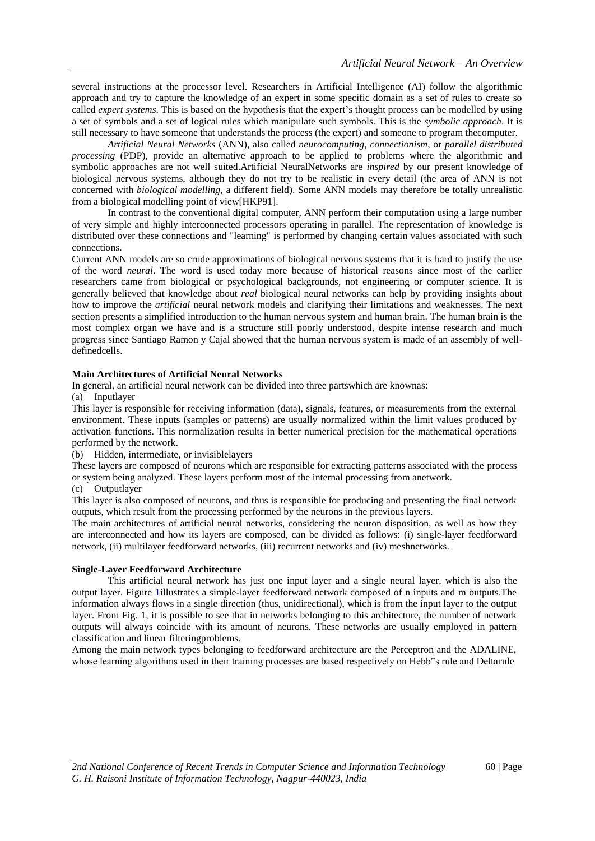several instructions at the processor level. Researchers in Artificial Intelligence (AI) follow the algorithmic approach and try to capture the knowledge of an expert in some specific domain as a set of rules to create so called *expert systems*. This is based on the hypothesis that the expert's thought process can be modelled by using a set of symbols and a set of logical rules which manipulate such symbols. This is the *symbolic approach*. It is still necessary to have someone that understands the process (the expert) and someone to program thecomputer.

*Artificial Neural Networks* (ANN), also called *neurocomputing*, *connectionism*, or *parallel distributed processing* (PDP), provide an alternative approach to be applied to problems where the algorithmic and symbolic approaches are not well suited.Artificial NeuralNetworks are *inspired* by our present knowledge of biological nervous systems, although they do not try to be realistic in every detail (the area of ANN is not concerned with *biological modelling*, a different field). Some ANN models may therefore be totally unrealistic from a biological modelling point of view[HKP91].

In contrast to the conventional digital computer, ANN perform their computation using a large number of very simple and highly interconnected processors operating in parallel. The representation of knowledge is distributed over these connections and "learning" is performed by changing certain values associated with such connections.

Current ANN models are so crude approximations of biological nervous systems that it is hard to justify the use of the word *neural*. The word is used today more because of historical reasons since most of the earlier researchers came from biological or psychological backgrounds, not engineering or computer science. It is generally believed that knowledge about *real* biological neural networks can help by providing insights about how to improve the *artificial* neural network models and clarifying their limitations and weaknesses. The next section presents a simplified introduction to the human nervous system and human brain. The human brain is the most complex organ we have and is a structure still poorly understood, despite intense research and much progress since Santiago Ramon y Cajal showed that the human nervous system is made of an assembly of welldefinedcells.

## **Main Architectures of Artificial Neural Networks**

In general, an artificial neural network can be divided into three partswhich are knownas:

(a) Inputlayer

This layer is responsible for receiving information (data), signals, features, or measurements from the external environment. These inputs (samples or patterns) are usually normalized within the limit values produced by activation functions. This normalization results in better numerical precision for the mathematical operations performed by the network.

(b) Hidden, intermediate, or invisiblelayers

These layers are composed of neurons which are responsible for extracting patterns associated with the process or system being analyzed. These layers perform most of the internal processing from anetwork.

(c) Outputlayer

This layer is also composed of neurons, and thus is responsible for producing and presenting the final network outputs, which result from the processing performed by the neurons in the previous layers.

The main architectures of artificial neural networks, considering the neuron disposition, as well as how they are interconnected and how its layers are composed, can be divided as follows: (i) single-layer feedforward network, (ii) multilayer feedforward networks, (iii) recurrent networks and (iv) meshnetworks.

## **Single-Layer Feedforward Architecture**

This artificial neural network has just one input layer and a single neural layer, which is also the output layer. Figure 1illustrates a simple-layer feedforward network composed of n inputs and m outputs.The information always flows in a single direction (thus, unidirectional), which is from the input layer to the output layer. From Fig. 1, it is possible to see that in networks belonging to this architecture, the number of network outputs will always coincide with its amount of neurons. These networks are usually employed in pattern classification and linear filteringproblems.

Among the main network types belonging to feedforward architecture are the Perceptron and the ADALINE, whose learning algorithms used in their training processes are based respectively on Hebb"s rule and Deltarule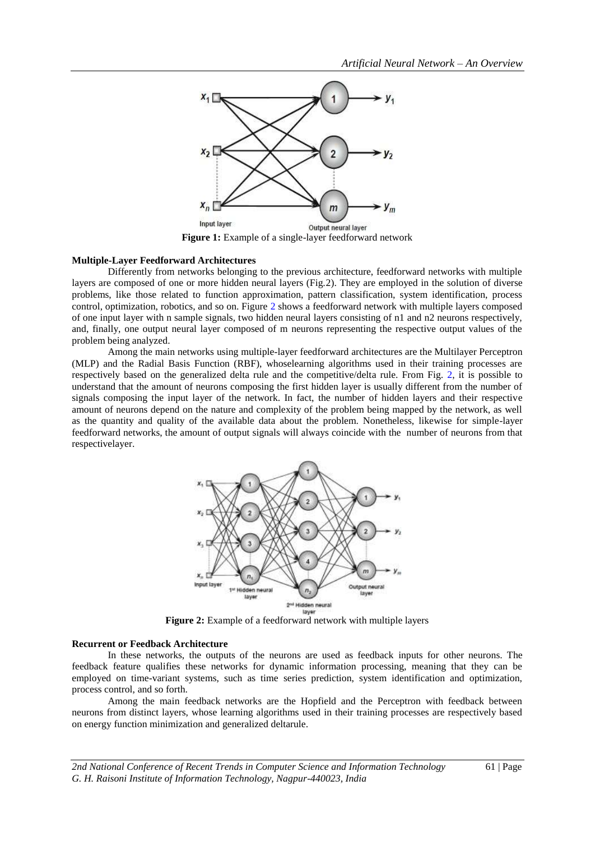

## **Multiple-Layer Feedforward Architectures**

Differently from networks belonging to the previous architecture, feedforward networks with multiple layers are composed of one or more hidden neural layers (Fig.2). They are employed in the solution of diverse problems, like those related to function approximation, pattern classification, system identification, process control, optimization, robotics, and so on. Figure 2 shows a feedforward network with multiple layers composed of one input layer with n sample signals, two hidden neural layers consisting of n1 and n2 neurons respectively, and, finally, one output neural layer composed of m neurons representing the respective output values of the problem being analyzed.

Among the main networks using multiple-layer feedforward architectures are the Multilayer Perceptron (MLP) and the Radial Basis Function (RBF), whoselearning algorithms used in their training processes are respectively based on the generalized delta rule and the competitive/delta rule. From Fig. 2, it is possible to understand that the amount of neurons composing the first hidden layer is usually different from the number of signals composing the input layer of the network. In fact, the number of hidden layers and their respective amount of neurons depend on the nature and complexity of the problem being mapped by the network, as well as the quantity and quality of the available data about the problem. Nonetheless, likewise for simple-layer feedforward networks, the amount of output signals will always coincide with the number of neurons from that respectivelayer.



**Figure 2:** Example of a feedforward network with multiple layers

#### **Recurrent or Feedback Architecture**

In these networks, the outputs of the neurons are used as feedback inputs for other neurons. The feedback feature qualifies these networks for dynamic information processing, meaning that they can be employed on time-variant systems, such as time series prediction, system identification and optimization, process control, and so forth.

Among the main feedback networks are the Hopfield and the Perceptron with feedback between neurons from distinct layers, whose learning algorithms used in their training processes are respectively based on energy function minimization and generalized deltarule.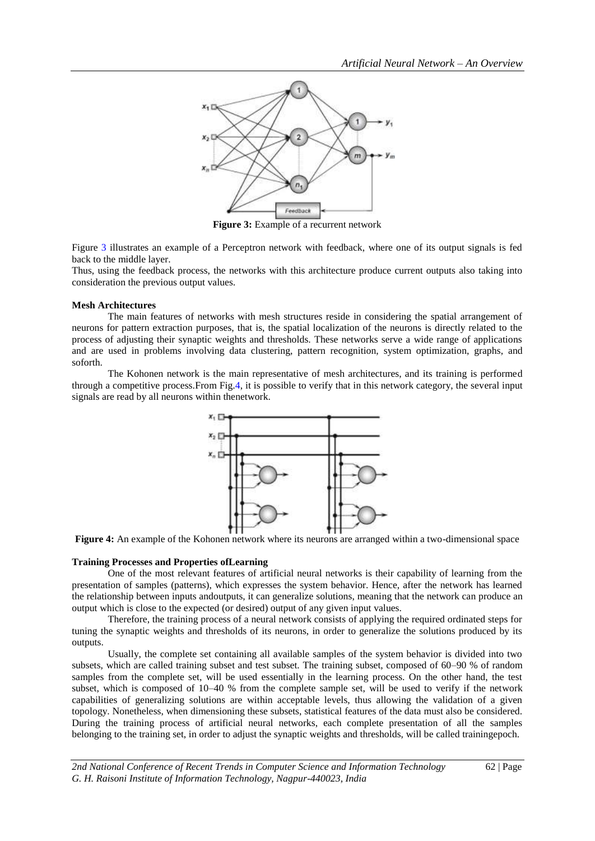

**Figure 3:** Example of a recurrent network

Figure 3 illustrates an example of a Perceptron network with feedback, where one of its output signals is fed back to the middle layer.

Thus, using the feedback process, the networks with this architecture produce current outputs also taking into consideration the previous output values.

#### **Mesh Architectures**

The main features of networks with mesh structures reside in considering the spatial arrangement of neurons for pattern extraction purposes, that is, the spatial localization of the neurons is directly related to the process of adjusting their synaptic weights and thresholds. These networks serve a wide range of applications and are used in problems involving data clustering, pattern recognition, system optimization, graphs, and soforth.

The Kohonen network is the main representative of mesh architectures, and its training is performed through a competitive process.From Fig.4, it is possible to verify that in this network category, the several input signals are read by all neurons within thenetwork.



**Figure 4:** An example of the Kohonen network where its neurons are arranged within a two-dimensional space

#### **Training Processes and Properties ofLearning**

One of the most relevant features of artificial neural networks is their capability of learning from the presentation of samples (patterns), which expresses the system behavior. Hence, after the network has learned the relationship between inputs andoutputs, it can generalize solutions, meaning that the network can produce an output which is close to the expected (or desired) output of any given input values.

Therefore, the training process of a neural network consists of applying the required ordinated steps for tuning the synaptic weights and thresholds of its neurons, in order to generalize the solutions produced by its outputs.

Usually, the complete set containing all available samples of the system behavior is divided into two subsets, which are called training subset and test subset. The training subset, composed of 60–90 % of random samples from the complete set, will be used essentially in the learning process. On the other hand, the test subset, which is composed of 10–40 % from the complete sample set, will be used to verify if the network capabilities of generalizing solutions are within acceptable levels, thus allowing the validation of a given topology. Nonetheless, when dimensioning these subsets, statistical features of the data must also be considered. During the training process of artificial neural networks, each complete presentation of all the samples belonging to the training set, in order to adjust the synaptic weights and thresholds, will be called trainingepoch.